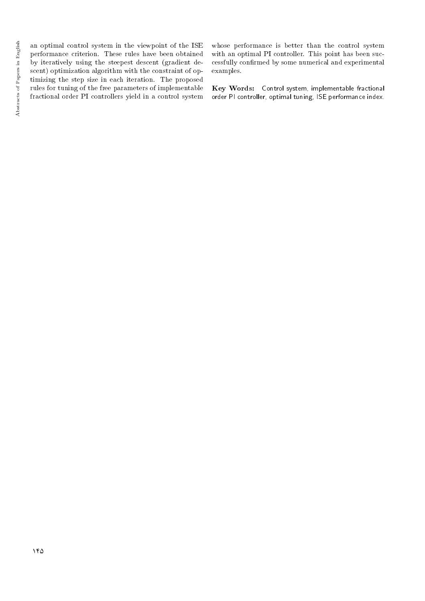an optimal control system in the viewpoint of the ISE performance criterion. These rules have been obtained by iteratively using the steepest descent (gradient descent) optimization algorithm with the constraint of optimizing the step size in each iteration. The proposed rules for tuning of the free parameters of implementable fractional order PI controllers yield in a control system whose performance is better than the control system with an optimal PI controller. This point has been successfully confirmed by some numerical and experimental examples.

Key Words: Control system, implementable fractional order PI controller, optimal tuning, ISE performance index.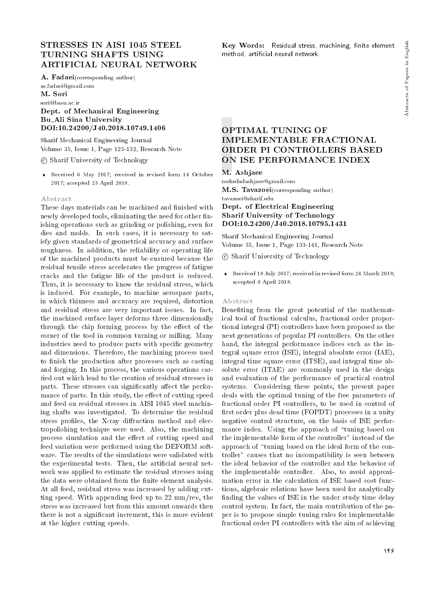# STRESSES IN AISI 1045 STEEL TURNING SHAFTS USING ARTIFICIAL NEURAL NETWORK

A. Fadaei(corresponding author)

as.fadaei@gmail.com M. Sori

sori@basu.ac.ir

## Dept. of Mechanical Engineering Bu Ali Sina University DOI:10.24200/J40.2018.10749.1406

Sharif Mechanical Engineering Journal Volume 35, Issue 1, Page 123-132, Research Note

c Sharif University of Technology

 Received 6 May 2017; received in revised form 14 October 2017; accepted 23 April 2018.

#### Abstract

These days materials can be machined and finished with newly developed tools, eliminating the need for other finishing operations such as grinding or polishing, even for dies and molds. In such cases, it is necessary to satisfy given standards of geometrical accuracy and surface roughness. In addition, the reliability or operating life of the machined products must be ensured because the residual tensile stress accelerates the progress of fatigue cracks and the fatigue life of the product is reduced. Thus, it is necessary to know the residual stress, which is induced. For example, to machine aerospace parts, in which thinness and accuracy are required, distortion and residual stress are very important issues. In fact, the machined surface layer deforms three dimensionally through the chip forming process by the effect of the corner of the tool in common turning or milling. Many industries need to produce parts with specific geometry and dimensions. Therefore, the machining process used to finish the production after processes such as casting and forging. In this process, the various operations carried out which lead to the creation of residual stresses in parts. These stresses can significantly affect the performance of parts. In this study, the effect of cutting speed and feed on residual stresses in AISI 1045 steel machining shafts was investigated. To determine the residual stress profiles, the X-ray diffraction method and electropolishing technique were used. Also, the machining process simulation and the effect of cutting speed and feed variation were performed using the DEFORM software. The results of the simulations were validated with the experimental tests. Then, the artificial neural network was applied to estimate the residual stresses using the data were obtained from the finite element analysis. At all feed, residual stress was increased by adding cutting speed. With appending feed up to 22 mm/rev, the stress was increased but from this amount onwards then there is not a signicant increment, this is more evident at the higher cutting speeds.

Key Words: Residual stress, machining, finite element method, articial neural network.

# OPTIMAL TUNING OF IMPLEMENTABLE FRACTIONAL ORDER PI CONTROLLERS BASED ON ISE PERFORMANCE INDEX

M. Ashjaee

mehrdadashjaee@gmail.com M.S. Tavazoei(corresponding author)

tavazoei@sharif.edu

## Dept. of Electrical Engineering Sharif University of Technology DOI:10.24200/J40.2018.10795.1431

Sharif Mechanical Engineering Journal Volume 35, Issue 1, Page 133-141, Research Note

c Sharif University of Technology

 Received 18 July 2017; received in revised form 24 March 2018; accepted 8 April 2018.

## Abstract

Benefiting from the great potential of the mathematical tool of fractional calculus, fractional order proportional integral (PI) controllers have been proposed as the next generations of popular PI controllers. On the other hand, the integral performance indices such as the integral square error (ISE), integral absolute error (IAE), integral time square error (ITSE), and integral time absolute error (ITAE) are commonly used in the design and evaluation of the performance of practical control systems. Considering these points, the present paper deals with the optimal tuning of the free parameters of fractional order PI controllers, to be used in control of first order plus dead time (FOPDT) processes in a unity negative control structure, on the basis of ISE performance index. Using the approach of "tuning based on the implementable form of the controller" instead of the approach of \tuning based on the ideal form of the controller" causes that no incompatibility is seen between the ideal behavior of the controller and the behavior of the implementable controller. Also, to avoid approximation error in the calculation of ISE based cost functions, algebraic relations have been used for analytically finding the values of ISE in the under study time delay control system. In fact, the main contribution of the paper is to propose simple tuning rules for implementable fractional order PI controllers with the aim of achieving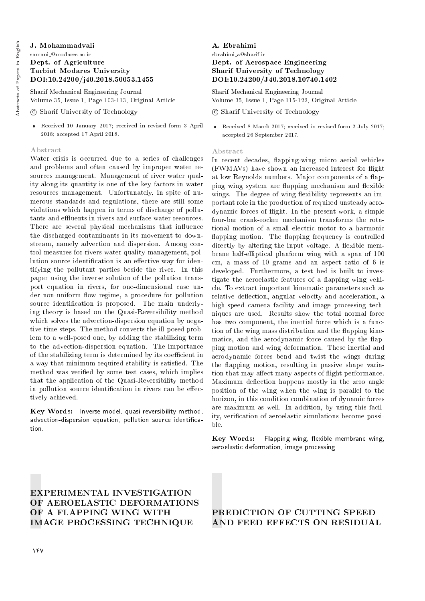# J. Mohammadvali

## samani @modares.ac.ir Dept. of Agriculture Tarbiat Modares University DOI:10.24200/j40.2018.50053.1455

Sharif Mechanical Engineering Journal Volume 35, Issue 1, Page 103-113, Original Article

- c Sharif University of Technology
- Received 10 January 2017; received in revised form 3 April 2018; accepted 17 April 2018.

## Abstract

Water crisis is occurred due to a series of challenges and problems and often caused by improper water resources management. Management of river water quality along its quantity is one of the key factors in water resources management. Unfortunately, in spite of numerous standards and regulations, there are still some violations which happen in terms of discharge of pollutants and effluents in rivers and surface water resources. There are several physical mechanisms that influence the discharged contaminants in its movement to downstream, namely advection and dispersion. Among control measures for rivers water quality management, pollution source identification is an effective way for identifying the pollutant parties beside the river. In this paper using the inverse solution of the pollution transport equation in rivers, for one-dimensional case under non-uniform flow regime, a procedure for pollution source identification is proposed. The main underlying theory is based on the Quasi-Reversibility method which solves the advection-dispersion equation by negative time steps. The method converts the ill-posed problem to a well-posed one, by adding the stabilizing term to the advection-dispersion equation. The importance of the stabilizing term is determined by its coefficient in a way that minimum required stability is satised. The method was veried by some test cases, which implies that the application of the Quasi-Reversibility method in pollution source identification in rivers can be effectively achieved.

Key Words: Inverse model, quasi-reversibility method, advection-dispersion equation, pollution source identification.

## A. Ebrahimi ebrahimi a@sharif.ir Dept. of Aerospace Engineering Sharif University of Technology DOI:10.24200/J40.2018.10740.1402

Sharif Mechanical Engineering Journal Volume 35, Issue 1, Page 115-122, Original Article

## c Sharif University of Technology

 Received 8 March 2017; received in revised form 2 July 2017; accepted 26 September 2017.

## Abstract

In recent decades, flapping-wing micro aerial vehicles (FWMAVs) have shown an increased interest for flight at low Reynolds numbers. Major components of a flapping wing system are flapping mechanism and flexible wings. The degree of wing flexibility represents an important role in the production of required unsteady aerodynamic forces of 
ight. In the present work, a simple four-bar crank-rocker mechanism transforms the rotational motion of a small electric motor to a harmonic flapping motion. The flapping frequency is controlled directly by altering the input voltage. A flexible membrane half-elliptical planform wing with a span of 100 cm, a mass of 10 grams and an aspect ratio of 6 is developed. Furthermore, a test bed is built to investigate the aeroelastic features of a flapping wing vehicle. To extract important kinematic parameters such as relative deflection, angular velocity and acceleration, a high-speed camera facility and image processing techniques are used. Results show the total normal force has two component, the inertial force which is a function of the wing mass distribution and the flapping kinematics, and the aerodynamic force caused by the 
apping motion and wing deformation. These inertial and aerodynamic forces bend and twist the wings during the 
apping motion, resulting in passive shape variation that may affect many aspects of flight performance. Maximum deflection happens mostly in the zero angle position of the wing when the wing is parallel to the horizon, in this condition combination of dynamic forces are maximum as well. In addition, by using this facility, verification of aeroelastic simulations become possible.

Key Words: Flapping wing, flexible membrane wing, aeroelastic deformation, image processing.

# EXPERIMENTAL INVESTIGATION OF AEROELASTIC DEFORMATIONS OF A FLAPPING WING WITH IMAGE PROCESSING TECHNIQUE

## PREDICTION OF CUTTING SPEED AND FEED EFFECTS ON RESIDUAL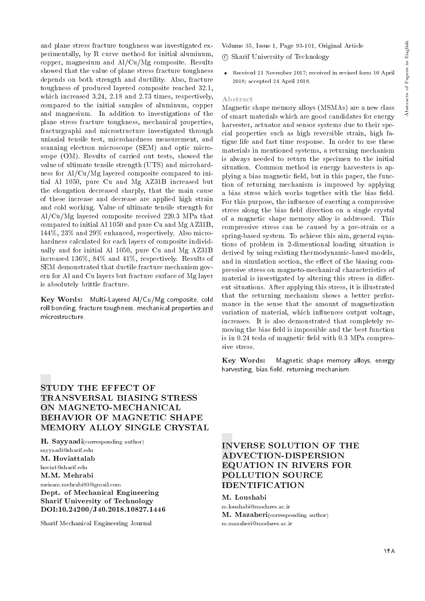and plane stress fracture toughness was investigated experimentally, by R curve method for initial aluminum, copper, magnesium and Al/Cu/Mg composite. Results showed that the value of plane stress fracture toughness depends on both strength and ductility. Also, fracture toughness of produced layered composite reached 32.1, which increased 3.24, 2.18 and 2.73 times, respectively, compared to the initial samples of aluminum, copper and magnesium. In addition to investigations of the plane stress fracture toughness, mechanical properties, fracturgraphi and microstructure investigated through uniaxial tensile test, microhardness measurement, and scanning electron microscope (SEM) and optic microscope (OM). Results of carried out tests, showed the value of ultimate tensile strength (UTS) and microhardness for Al/Cu/Mg layered composite compared to initial Al 1050, pure Cu and Mg AZ31B increased but the elongation decreased sharply, that the main cause of these increase and decrease are applied high strain and cold working. Value of ultimate tensile strength for Al/Cu/Mg layered composite received 220.3 MPa that compared to initial Al 1050 and pure Cu and Mg AZ31B, 144%, 23% and 29% enhanced, respectively. Also microhardness calculated for each layers of composite individually and for initial Al 1050, pure Cu and Mg AZ31B increased 136%, 84% and 41%, respectively. Results of SEM demonstrated that ductile fracture mechanism govern for Al and Cu layers but fracture surface of Mg layer is absolutely brittle fracture.

Key Words: Multi-Layered Al/Cu/Mg composite, cold roll bonding, fracture toughness, mechanical properties and microstructure.

Volume 35, Issue 1, Page 93-101, Original Article c Sharif University of Technology

 Received 21 November 2017; received in revised form 10 April 2018; accepted 24 April 2018.

#### Abstract

Magnetic shape memory alloys (MSMAs) are a new class of smart materials which are good candidates for energy harvester, actuator and sensor systems due to their special properties such as high reversible strain, high fatigue life and fast time response. In order to use these materials in mentioned systems, a returning mechanism is always needed to return the specimen to the initial situation. Common method in energy harvesters is applying a bias magnetic field, but in this paper, the function of returning mechanism is improved by applying a bias stress which works together with the bias field. For this purpose, the influence of exerting a compressive stress along the bias field direction on a single crystal of a magnetic shape memory alloy is addressed. This compressive stress can be caused by a pre-strain or a spring-based system. To achieve this aim, general equations of problem in 2-dimentional loading situation is derived by using existing thermodynamic-based models, and in simulation section, the effect of the biasing compressive stress on magneto-mechanical characteristics of material is investigated by altering this stress in different situations. After applying this stress, it is illustrated that the returning mechanism shows a better performance in the sense that the amount of magnetization variation of material, which influences output voltage, increases. It is also demonstrated that completely removing the bias field is impossible and the best function is in  $0.24$  tesla of magnetic field with  $0.3$  MPa compressive stress.

Key Words: Magnetic shape memory alloys, energy harvesting, bias field, returning mechanism.

# STUDY THE EFFECT OF TRANSVERSAL BIASING STRESS ON MAGNETO-MECHANICAL BEHAVIOR OF MAGNETIC SHAPE MEMORY ALLOY SINGLE CRYSTAL

H. Sayyaadi(corresponding author) sayyaadi@sharif.edu M. Hoviattalab hoviat@sharif.edu M.M. Mehrabi meisam.mehrabi93@gmail.com Dept. of Mechanical Engineering Sharif University of Technology DOI:10.24200/J40.2018.10827.1446

Sharif Mechanical Engineering Journal

# INVERSE SOLUTION OF THE ADVECTION-DISPERSION EQUATION IN RIVERS FOR POLLUTION SOURCE IDENTIFICATION

M. Loushabi m.loushabi@modares.ac.ir M. Mazaheri(corresponding author) m.mazaheri@modares.ac.ir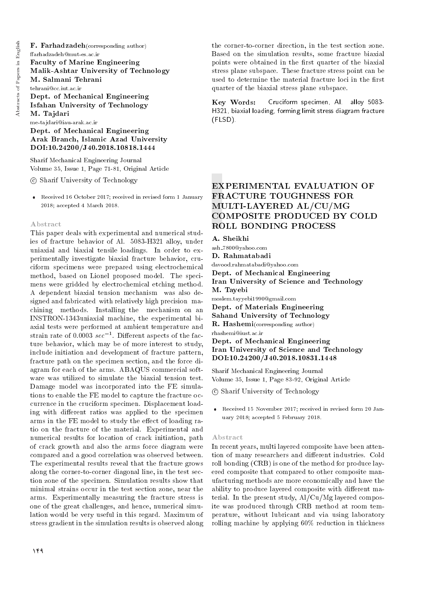F. Farhadzadeh(corresponding author) arhadzadeh@mut-es.ac.ir Faculty of Marine Engineering Malik-Ashtar University of Technology M. Salmani Tehrani tehrani@cc.iut.ac.ir Dept. of Mechanical Engineering Isfahan University of Technology M. Tajdari me-tajdari@iau-arak.ac.ir

Dept. of Mechanical Engineering Arak Branch, Islamic Azad University DOI:10.24200/J40.2018.10818.1444

Sharif Mechanical Engineering Journal Volume 35, Issue 1, Page 71-81, Original Article

c Sharif University of Technology

 Received 16 October 2017; received in revised form 1 January 2018; accepted 4 March 2018.

#### Abstract

This paper deals with experimental and numerical studies of fracture behavior of Al. 5083-H321 alloy, under uniaxial and biaxial tensile loadings. In order to experimentally investigate biaxial fracture behavior, cruciform specimens were prepared using electrochemical method, based on Lionel proposed model. The specimens were gridded by electrochemical etching method. A dependent biaxial tension mechanism was also designed and fabricated with relatively high precision machining methods. Installing the mechanism on an INSTRON-1343uniaxial machine, the experimental biaxial tests were performed at ambient temperature and strain rate of 0.0003  $sec^{-1}$ . Different aspects of the facture behavior, which may be of more interest to study, include initiation and development of fracture pattern, fracture path on the specimen section, and the force diagram for each of the arms. ABAQUS commercial software was utilized to simulate the biaxial tension test. Damage model was incorporated into the FE simulations to enable the FE model to capture the fracture occurrence in the cruciform specimen. Displacement loading with different ratios was applied to the specimen arms in the FE model to study the effect of loading ratio on the fracture of the material. Experimental and numerical results for location of crack initiation, path of crack growth and also the arms force diagram were compared and a good correlation was observed between. The experimental results reveal that the fracture grows along the corner-to-corner diagonal line, in the test section zone of the specimen. Simulation results show that minimal strains occur in the test section zone, near the arms. Experimentally measuring the fracture stress is one of the great challenges, and hence, numerical simulation would be very useful in this regard. Maximum of stress gradient in the simulation results is observed along

the corner-to-corner direction, in the test section zone. Based on the simulation results, some fracture biaxial points were obtained in the first quarter of the biaxial stress plane subspace. These fracture stress point can be used to determine the material fracture loci in the first quarter of the biaxial stress plane subspace.

Key Words: H321, biaxial loading, forming limit stress diagram fracture (FLSD). Cruciform specimen, Al. alloy 5083-

# EXPERIMENTAL EVALUATION OF FRACTURE TOUGHNESS FOR MULTI-LAYERED AL/CU/MG COMPOSITE PRODUCED BY COLD ROLL BONDING PROCESS

A. Sheikhi

ash 7800@yahoo.com D. Rahmatabadi davood.rahmatabadi@yahoo.com Dept. of Mechanical Engineering Iran University of Science and Technology M. Tayebi moslem.tayyebi1990@gmail.com Dept. of Materials Engineering Sahand University of Technology R. Hashemi(corresponding author) rhashemi@iust.ac.ir Dept. of Mechanical Engineering

Iran University of Science and Technology DOI:10.24200/J40.2018.10831.1448

Sharif Mechanical Engineering Journal Volume 35, Issue 1, Page 83-92, Original Article

c Sharif University of Technology

 Received 15 November 2017; received in revised form 20 January 2018; accepted 5 February 2018.

#### Abstract

In recent years, multi layered composite have been attention of many researchers and different industries. Cold roll bonding (CRB) is one of the method for produce layered composite that compared to other composite manufacturing methods are more economically and have the ability to produce layered composite with different material. In the present study, Al/Cu/Mg layered composite was produced through CRB method at room temperature, without lubricant and via using laboratory rolling machine by applying 60% reduction in thickness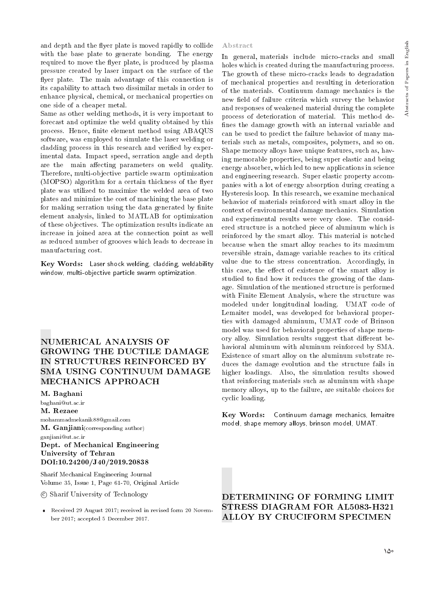and depth and the flyer plate is moved rapidly to collide with the base plate to generate bonding. The energy required to move the flyer plate, is produced by plasma pressure created by laser impact on the surface of the flyer plate. The main advantage of this connection is its capability to attach two dissimilar metals in order to enhance physical, chemical, or mechanical properties on one side of a cheaper metal.

Same as other welding methods, it is very important to forecast and optimize the weld quality obtained by this process. Hence, finite element method using ABAQUS software, was employed to simulate the laser welding or cladding process in this research and veried by experimental data. Impact speed, serration angle and depth are the main affecting parameters on weld quality. Therefore, multi-objective particle swarm optimization (MOPSO) algorithm for a certain thickness of the flyer plate was utilized to maximize the welded area of two plates and minimize the cost of machining the base plate for making serration using the data generated by finite element analysis, linked to MATLAB for optimization of these objectives. The optimization results indicate an increase in joined area at the connection point as well as reduced number of grooves which leads to decrease in manufacturing cost.

Key Words: Laser shock welding, cladding, weldability window, multi-objective particle swarm optimization.

# NUMERICAL ANALYSIS OF GROWING THE DUCTILE DAMAGE IN STRUCTURES REINFORCED BY SMA USING CONTINUUM DAMAGE MECHANICS APPROACH

## M. Baghani

baghani@ut.ac.ir

M. Rezaee

mohammadmekanik88@gmail.com M. Ganjiani(corresponding author) ganjiani@ut.ac.ir

## Dept. of Mechanical Engineering University of Tehran DOI:10.24200/J40/2019.20838

Sharif Mechanical Engineering Journal Volume 35, Issue 1, Page 61-70, Original Article

c Sharif University of Technology

 Received 29 August 2017; received in revised form 20 November 2017; accepted 5 December 2017.

#### Abstract

In general, materials include micro-cracks and small holes which is created during the manufacturing process. The growth of these micro-cracks leads to degradation of mechanical properties and resulting in deterioration of the materials. Continuum damage mechanics is the new field of failure criteria which survey the behavior and responses of weakened material during the complete process of deterioration of material. This method de fines the damage growth with an internal variable and can be used to predict the failure behavior of many materials such as metals, composites, polymers, and so on. Shape memory alloys have unique features, such as, having memorable properties, being super elastic and being energy absorber, which led to new applications in science and engineering research. Super elastic property accompanies with a lot of energy absorption during creating a Hysteresis loop. In this research, we examine mechanical behavior of materials reinforced with smart alloy in the context of environmental damage mechanics. Simulation and experimental results were very close. The considered structure is a notched piece of aluminum which is reinforced by the smart alloy. This material is notched because when the smart alloy reaches to its maximum reversible strain, damage variable reaches to its critical value due to the stress concentration. Accordingly, in this case, the effect of existence of the smart alloy is studied to find how it reduces the growing of the damage. Simulation of the mentioned structure is performed with Finite Element Analysis, where the structure was modeled under longitudinal loading. UMAT code of Lemaiter model, was developed for behavioral properties with damaged aluminum, UMAT code of Brinson model was used for behavioral properties of shape memory alloy. Simulation results suggest that different behavioral aluminum with aluminum reinforced by SMA. Existence of smart alloy on the aluminum substrate reduces the damage evolution and the structure fails in higher loadings. Also, the simulation results showed that reinforcing materials such as aluminum with shape memory alloys, up to the failure, are suitable choices for cyclic loading.

Key Words: Continuum damage mechanics, lemaitre model, shape memory alloys, brinson model, UMAT.

# DETERMINING OF FORMING LIMIT STRESS DIAGRAM FOR AL5083-H321 ALLOY BY CRUCIFORM SPECIMEN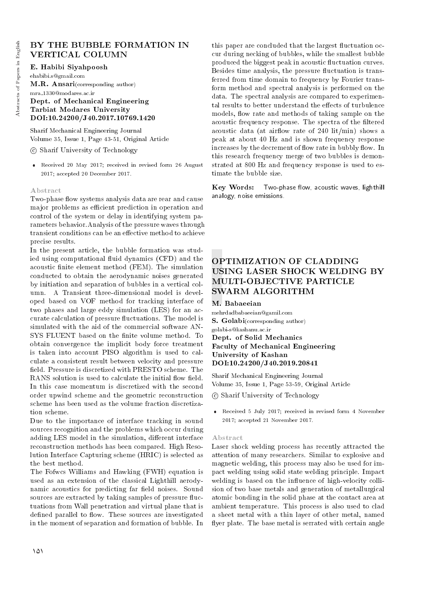# BY THE BUBBLE FORMATION IN VERTICAL COLUMN

E. Habibi Siyahpoosh ehabibi.s@gmail.com M.R. Ansari(corresponding author) mra 1330@modares.ac.ir Dept. of Mechanical Engineering Tarbiat Modares University DOI:10.24200/J40.2017.10769.1420

Sharif Mechanical Engineering Journal Volume 35, Issue 1, Page 43-51, Original Article

c Sharif University of Technology

 Received 20 May 2017; received in revised form 26 August 2017; accepted 20 December 2017.

#### Abstract

Two-phase flow systems analysis data are rear and cause major problems as efficient prediction in operation and control of the system or delay in identifying system parameters behavior.Analysis of the pressure waves through transient conditions can be an effective method to achieve precise results.

In the present article, the bubble formation was studied using computational fluid dynamics (CFD) and the acoustic finite element method (FEM). The simulation conducted to obtain the aerodynamic noises generated by initiation and separation of bubbles in a vertical column. A Transient three-dimensional model is developed based on VOF method for tracking interface of two phases and large eddy simulation (LES) for an accurate calculation of pressure fluctuations. The model is simulated with the aid of the commercial software AN-SYS FLUENT based on the finite volume method. To obtain convergence the implicit body force treatment is taken into account PISO algorithm is used to calculate a consistent result between velocity and pressure field. Pressure is discretized with PRESTO scheme. The RANS solution is used to calculate the initial flow field. In this case momentum is discretized with the second order upwind scheme and the geometric reconstruction scheme has been used as the volume fraction discretization scheme.

Due to the importance of interface tracking in sound sources recognition and the problems which occur during adding LES model in the simulation, different interface reconstruction methods has been compared. High Resolution Interface Capturing scheme (HRIC) is selected as the best method.

The Fofwcs Williams and Hawking (FWH) equation is used as an extension of the classical Lighthill aerodynamic acoustics for predicting far field noises. Sound sources are extracted by taking samples of pressure fluctuations from Wall penetration and virtual plane that is defined parallel to flow. These sources are investigated in the moment of separation and formation of bubble. In

this paper are concluded that the largest fluctuation occur during necking of bubbles, while the smallest bubble produced the biggest peak in acoustic fluctuation curves. Besides time analysis, the pressure fluctuation is transferred from time domain to frequency by Fourier transform method and spectral analysis is performed on the data. The spectral analysis are compared to experimental results to better understand the effects of turbulence models, flow rate and methods of taking sample on the acoustic frequency response. The spectra of the filtered acoustic data (at airflow rate of 240 lit/min) shows a peak at about 40 Hz and is shown frequency response increases by the decrement of flow rate in bubbly flow. In this research frequency merge of two bubbles is demonstrated at 800 Hz and frequency response is used to estimate the bubble size.

Key Words: Two-phase flow, acoustic waves, lighthill analogy, noise emissions.

# OPTIMIZATION OF CLADDING USING LASER SHOCK WELDING BY MULTI-OBJECTIVE PARTICLE SWARM ALGORITHM

#### M. Babaeeian

mehrdadbabaeeian@gamil.com S. Golabi(corresponding author) golabi-s@kashanu.ac.ir

Dept. of Solid Mechanics Faculty of Mechanical Engineering University of Kashan DOI:10.24200/J40.2019.20841

Sharif Mechanical Engineering Journal Volume 35, Issue 1, Page 53-59, Original Article

c Sharif University of Technology

 Received 5 July 2017; received in revised form 4 November 2017; accepted 21 November 2017.

## Abstract

Laser shock welding process has recently attracted the attention of many researchers. Similar to explosive and magnetic welding, this process may also be used for impact welding using solid state welding principle. Impact welding is based on the influence of high-velocity collision of two base metals and generation of metallurgical atomic bonding in the solid phase at the contact area at ambient temperature. This process is also used to clad a sheet metal with a thin layer of other metal, named flyer plate. The base metal is serrated with certain angle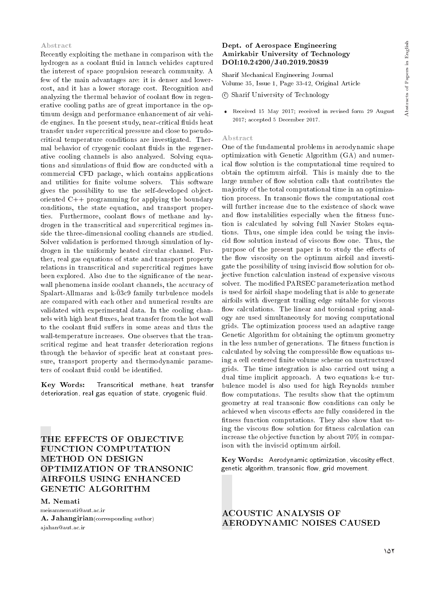#### Abstract

Recently exploiting the methane in comparison with the hydrogen as a coolant fluid in launch vehicles captured the interest of space propulsion research community. A few of the main advantages are: it is denser and lowercost, and it has a lower storage cost. Recognition and analyzing the thermal behavior of coolant flow in regenerative cooling paths are of great importance in the optimum design and performance enhancement of air vehicle engines. In the present study, near-critical fluids heat transfer under supercritical pressure and close to pseudocritical temperature conditions are investigated. Thermal behavior of cryogenic coolant fluids in the regenerative cooling channels is also analyzed. Solving equations and simulations of fluid flow are conducted with a commercial CFD package, which contains applications and utilities for finite volume solvers. This software gives the possibility to use the self-developed objectoriented C++ programming for applying the boundary conditions, the state equation, and transport properties. Furthermore, coolant flows of methane and hydrogen in the transcritical and supercritical regimes inside the three-dimensional cooling channels are studied. Solver validation is performed through simulation of hydrogen in the uniformly heated circular channel. Further, real gas equations of state and transport property relations in transcritical and supercritical regimes have been explored. Also due to the signicance of the nearwall phenomena inside coolant channels, the accuracy of Spalart-Allmaras and k-03c9 family turbulence models are compared with each other and numerical results are validated with experimental data. In the cooling channels with high heat fluxes, heat transfer from the hot wall to the coolant fluid suffers in some areas and thus the wall-temperature increases. One observes that the transcritical regime and heat transfer deterioration regions through the behavior of specific heat at constant pressure, transport property and thermodynamic parameters of coolant fluid could be identified.

Key Words: Transcritical methane, heat transfer deterioration, real gas equation of state, cryogenic fluid.

# THE EFFECTS OF OBJECTIVE FUNCTION COMPUTATION METHOD ON DESIGN OPTIMIZATION OF TRANSONIC AIRFOILS USING ENHANCED GENETIC ALGORITHM

# M. Nemati

meisamnemati@aut.ac.ir A. Jahangirian(corresponding author) ajahan@aut.ac.ir

## Dept. of Aerospace Engineering Amirkabir University of Technology DOI:10.24200/J40.2019.20839

Sharif Mechanical Engineering Journal Volume 35, Issue 1, Page 33-42, Original Article

- c Sharif University of Technology
- Received 15 May 2017; received in revised form 29 August 2017; accepted 5 December 2017.

## Abstract

One of the fundamental problems in aerodynamic shape optimization with Genetic Algorithm (GA) and numerical flow solution is the computational time required to obtain the optimum airfoil. This is mainly due to the large number of flow solution calls that contributes the majority of the total computational time in an optimization process. In transonic flows the computational cost will further increase due to the existence of shock wave and flow instabilities especially when the fitness function is calculated by solving full Navier Stokes equations. Thus, one simple idea could be using the inviscid flow solution instead of viscous flow one. Thus, the purpose of the present paper is to study the effects of the flow viscosity on the optimum airfoil and investigate the possibility of using inviscid flow solution for objective function calculation instead of expensive viscous solver. The modied PARSEC parameterization method is used for airfoil shape modeling that is able to generate airfoils with divergent trailing edge suitable for viscous flow calculations. The linear and torsional spring analogy are used simultaneously for moving computational grids. The optimization process used an adaptive range Genetic Algorithm for obtaining the optimum geometry in the less number of generations. The fitness function is calculated by solving the compressible flow equations using a cell centered finite volume scheme on unstructured grids. The time integration is also carried out using a dual time implicit approach. A two equations k-e turbulence model is also used for high Reynolds number flow computations. The results show that the optimum geometry at real transonic flow conditions can only be achieved when viscous effects are fully considered in the fitness function computations. They also show that using the viscous flow solution for fitness calculation can increase the objective function by about 70% in comparison with the inviscid optimum airfoil.

Key Words: Aerodynamic optimization, viscosity effect, genetic algorithm, transonic flow, grid movement.

ACOUSTIC ANALYSIS OF AERODYNAMIC NOISES CAUSED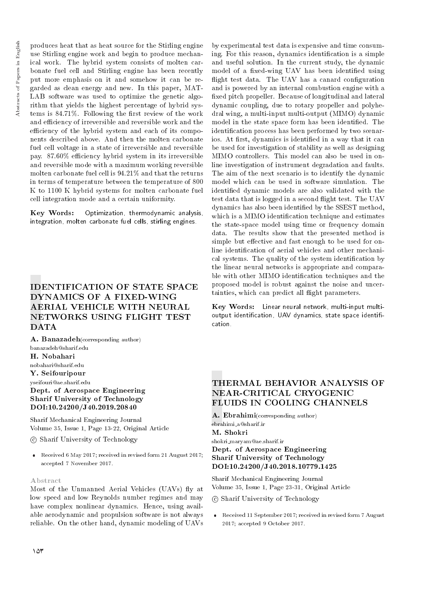produces heat that as heat source for the Stirling engine use Stirling engine work and begin to produce mechanical work. The hybrid system consists of molten carbonate fuel cell and Stirling engine has been recently put more emphasis on it and somehow it can be regarded as clean energy and new. In this paper, MAT-LAB software was used to optimize the genetic algorithm that yields the highest percentage of hybrid systems is  $84.71\%$ . Following the first review of the work and efficiency of irreversible and reversible work and the efficiency of the hybrid system and each of its components described above. And then the molten carbonate fuel cell voltage in a state of irreversible and reversible pay. 87.60% efficiency hybrid system in its irreversible and reversible mode with a maximum working reversible molten carbonate fuel cell is 94.21% and that the returns in terms of temperature between the temperature of 800 K to 1100 K hybrid systems for molten carbonate fuel cell integration mode and a certain uniformity.

Key Words: Optimization, thermodynamic analysis, integration, molten carbonate fuel cells, stirling engines.

# IDENTIFICATION OF STATE SPACE DYNAMICS OF A FIXED-WING AERIAL VEHICLE WITH NEURAL NETWORKS USING FLIGHT TEST **DATA**

A. Banazadeh(corresponding author) banazadeh@sharif.edu H. Nobahari nobahari@sharif.edu Y. Seifouripour yseifouri@ae.sharif.edu Dept. of Aerospace Engineering Sharif University of Technology DOI:10.24200/J40.2019.20840

Sharif Mechanical Engineering Journal Volume 35, Issue 1, Page 13-22, Original Article

c Sharif University of Technology

 Received 6 May 2017; received in revised form 21 August 2017; accepted 7 November 2017.

## Abstract

Most of the Unmanned Aerial Vehicles (UAVs) fly at low speed and low Reynolds number regimes and may have complex nonlinear dynamics. Hence, using available aerodynamic and propulsion software is not always reliable. On the other hand, dynamic modeling of UAVs

by experimental test data is expensive and time consuming. For this reason, dynamics identification is a simple and useful solution. In the current study, the dynamic model of a fixed-wing UAV has been identified using flight test data. The UAV has a canard configuration and is powered by an internal combustion engine with a xed pitch propeller. Because of longitudinal and lateral dynamic coupling, due to rotary propeller and polyhedral wing, a multi-input multi-output (MIMO) dynamic model in the state space form has been identified. The identification process has been performed by two scenarios. At first, dynamics is identified in a way that it can be used for investigation of stability as well as designing MIMO controllers. This model can also be used in online investigation of instrument degradation and faults. The aim of the next scenario is to identify the dynamic model which can be used in software simulation. The identied dynamic models are also validated with the test data that is logged in a second flight test. The UAV dynamics has also been identied by the SSEST method, which is a MIMO identification technique and estimates the state-space model using time or frequency domain data. The results show that the presented method is simple but effective and fast enough to be used for online identication of aerial vehicles and other mechanical systems. The quality of the system identication by the linear neural networks is appropriate and comparable with other MIMO identification techniques and the proposed model is robust against the noise and uncertainties, which can predict all flight parameters.

Key Words: Linear neural network, multi-input multioutput identification, UAV dynamics, state space identification.

## THERMAL BEHAVIOR ANALYSIS OF NEAR-CRITICAL CRYOGENIC FLUIDS IN COOLING CHANNELS

A. Ebrahimi(corresponding author) ebrahimi a@sharif.ir M. Shokri

shokri maryam@ae.sharif.ir

## Dept. of Aerospace Engineering Sharif University of Technology DOI:10.24200/J40.2018.10779.1425

Sharif Mechanical Engineering Journal Volume 35, Issue 1, Page 23-31, Original Article

c Sharif University of Technology

 Received 11 September 2017; received in revised form 7 August 2017; accepted 9 October 2017.